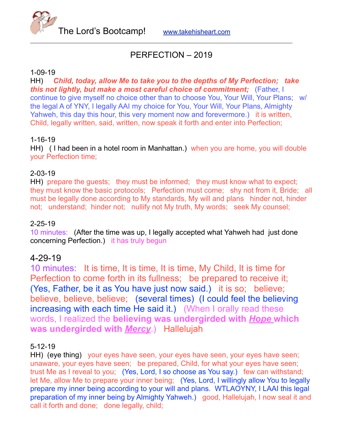The Lord's Bootcamp! [www.takehisheart.com](http://www.takehisheart.com)

# PERFECTION – 2019

#### 1-09-19

HH) *Child, today, allow Me to take you to the depths of My Perfection; take this not lightly, but make a most careful choice of commitment;* (Father, I continue to give myself no choice other than to choose You, Your Will, Your Plans; w/ the legal A of YNY, I legally AAI my choice for You, Your Will, Your Plans, Almighty Yahweh, this day this hour, this very moment now and forevermore.) it is written, Child, legally written, said, written, now speak it forth and enter into Perfection;

#### 1-16-19

HH) ( I had been in a hotel room in Manhattan.) when you are home, you will double your Perfection time;

## 2-03-19

HH) prepare the guests; they must be informed; they must know what to expect; they must know the basic protocols; Perfection must come; shy not from it, Bride; all must be legally done according to My standards, My will and plans hinder not, hinder not; understand; hinder not; nullify not My truth, My words; seek My counsel;

#### 2-25-19

10 minutes: (After the time was up, I legally accepted what Yahweh had just done concerning Perfection.) it has truly begun

## 4-29-19

10 minutes: It is time, It is time, It is time, My Child, It is time for Perfection to come forth in its fullness; be prepared to receive it; (Yes, Father, be it as You have just now said.) it is so; believe; believe, believe, believe; (several times) (I could feel the believing increasing with each time He said it.) (When I orally read these words, I realized the **believing was undergirded with** *Hope* **which was undergirded with** *Mercy*.) Hallelujah

## 5-12-19

HH) (eye thing) your eyes have seen, your eyes have seen, your eyes have seen; unaware, your eyes have seen; be prepared, Child, for what your eyes have seen; trust Me as I reveal to you; (Yes, Lord, I so choose as You say.) few can withstand; let Me, allow Me to prepare your inner being; (Yes, Lord, I willingly allow You to legally prepare my inner being according to your will and plans. WTLAOYNY, I LAAI this legal preparation of my inner being by Almighty Yahweh.) good, Hallelujah, I now seal it and call it forth and done; done legally, child;